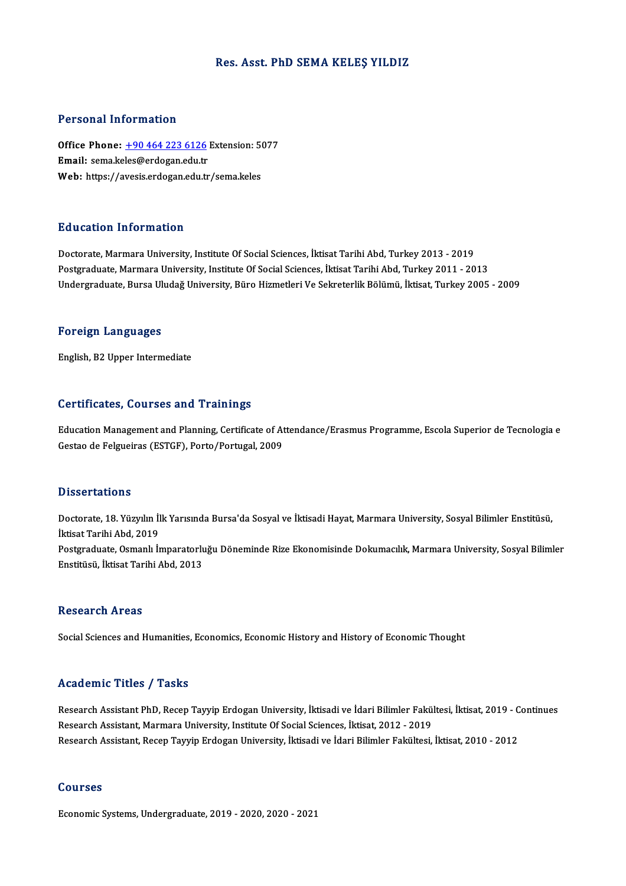# Res. Asst. PhD SEMA KELEŞ YILDIZ

# Personal Information

Personal Information<br>Office Phone: <u>+90 464 223 6126</u> Extension: 5077<br>Email: sema keles@erdegan.edu.tr Processian and cancellarity<br>Office Phone: <u>+90 464 223 6126</u><br>Email: sema.ke[les@erdogan.edu.tr](tel:+90 464 223 6126) Office Phone: <u>+90 464 223 6126</u> Extension: 5(<br>Email: sema.keles@erdogan.edu.tr<br>Web: https://avesis.erdogan.edu.tr/sema.keles Web: https://avesis.erdogan.edu.tr/sema.keles<br>Education Information

Doctorate, Marmara University, Institute Of Social Sciences, İktisat Tarihi Abd, Turkey 2013 - 2019 Postgraduate, Marmara University, Institute Of Social Sciences, İktisat Tarihi Abd, Turkey 2011 - 2013 Undergraduate, Bursa Uludağ University, Büro Hizmetleri Ve Sekreterlik Bölümü, İktisat, Turkey 2005 - 2009

## Foreign Languages

English,B2Upper Intermediate

## Certificates, Courses and Trainings

Certificates, Courses and Trainings<br>Education Management and Planning, Certificate of Attendance/Erasmus Programme, Escola Superior de Tecnologia e<br>Cestae de Felsueires (ESTCE), Perte (Pertugal, 2009 Gestandates, Gestroes and Pramma<br>Education Management and Planning, Certificate of At<br>Gestao de Felgueiras (ESTGF), Porto/Portugal, 2009 Gestao de Felgueiras (ESTGF), Porto/Portugal, 2009<br>Dissertations

Doctorate, 18. Yüzyılın İlk Yarısında Bursa'da Sosyal ve İktisadi Hayat, Marmara University, Sosyal Bilimler Enstitüsü, İktisat Tarihi Abd, 2019 Doctorate, 18. Yüzyılın İlk Yarısında Bursa'da Sosyal ve İktisadi Hayat, Marmara University, Sosyal Bilimler Enstitüsü,<br>İktisat Tarihi Abd, 2019<br>Postgraduate, Osmanlı İmparatorluğu Döneminde Rize Ekonomisinde Dokumacılık, İktisat Tarihi Abd, 2019<br>Postgraduate, Osmanlı İmparatorlı<br>Enstitüsü, İktisat Tarihi Abd, 2013 Enstitüsü, İktisat Tarihi Abd, 2013<br>Research Areas

Social Sciences and Humanities, Economics, Economic History and History of Economic Thought

# Academic Titles / Tasks

Academic Titles / Tasks<br>Research Assistant PhD, Recep Tayyip Erdogan University, İktisadi ve İdari Bilimler Fakültesi, İktisat, 2019 - Continues<br>Research Assistant Marmara University Institute Of Sesial Scienses, İktisat, recearch Assistant PhD, Recep Tayyip Erdogan University, İktisadi ve İdari Bilimler Fakü<br>Research Assistant, Marmara University, Institute Of Social Sciences, İktisat, 2012 - 2019<br>Research Assistant, Resen Tayyip Erdoson U Research Assistant PhD, Recep Tayyip Erdogan University, İktisadi ve İdari Bilimler Fakültesi, İktisat, 2019 - C<br>Research Assistant, Marmara University, Institute Of Social Sciences, İktisat, 2012 - 2019<br>Research Assistant Research Assistant, Recep Tayyip Erdogan University, İktisadi ve İdari Bilimler Fakültesi, İktisat, 2010 - 2012<br>Courses

Economic Systems,Undergraduate,2019 -2020,2020 -2021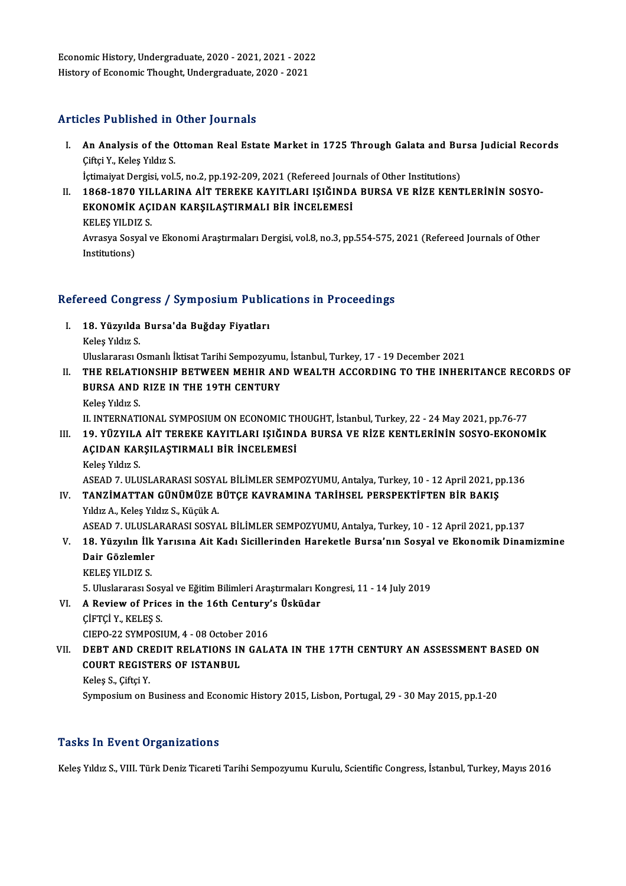economic History, Undergraduate, 2020 - 2021, 2021 - 2022<br>History of Economic Thought, Undergraduate, 2020, 2021 Economic History, Undergraduate, 2020 - 2021, 2021 - 202:<br>History of Economic Thought, Undergraduate, 2020 - 2021 History of Economic Thought, Undergraduate, 2020 - 2021<br>Articles Published in Other Journals

rticles Published in Other Journals<br>I. An Analysis of the Ottoman Real Estate Market in 1725 Through Galata and Bursa Judicial Records<br>Ciftei Y. Keles Yıldız S An Analysis of the C<br>Giftçi Y., Keleş Yıldız S.<br>İstimaiyat Darsisi ve İ An Analysis of the Ottoman Real Estate Market in 1725 Through Galata and Bu:<br>Ciftçi Y., Keleş Yıldız S.<br>İçtimaiyat Dergisi, vol.5, no.2, pp.192-209, 2021 (Refereed Journals of Other Institutions)<br>1969-1970 XII LABINA AİT T

İçtimaiyat Dergisi, vol.5, no.2, pp.192-209, 2021 (Refereed Journals of Other Institutions)

Ciftçi Y., Keleş Yıldız S.<br>İçtimaiyat Dergisi, vol.5, no.2, pp.192-209, 2021 (Refereed Journals of Other Institutions)<br>II. 1868-1870 YILLARINA AİT TEREKE KAYITLARI IŞIĞINDA BURSA VE RİZE KENTLERİNİN SOSYO-<br>EKONOMİK ACIDAN 1868-1870 YIL<br>EKONOMİK AÇI<br>KELEŞ YILDIZ S.<br>Arrasya Sasyal y

Avrasya Sosyal ve Ekonomi Araştırmaları Dergisi, vol.8, no.3, pp.554-575, 2021 (Refereed Journals of Other Institutions) KELEŞ YILDI<br>Avrasya Sosy<br>Institutions)

# nsututions)<br>Refereed Congress / Symposium Publications in Proceedings

- efereed Congress / Symposium Publi<br>I. 18. Yüzyılda Bursa'da Buğday Fiyatları<br>Keles Yıldır S I. 18. Yüzyılda Bursa'da Buğday Fiyatları<br>Keleş Yıldız S. 18. Yüzyılda Bursa'da Buğday Fiyatları<br>Keleş Yıldız S.<br>Uluslararası Osmanlı İktisat Tarihi Sempozyumu, İstanbul, Turkey, 17 - 19 December 2021<br>THE REL ATIONSHIR RETWEEN MEHIR AND WEALTH ACCORDING TO THE INHER
- II. THE RELATIONSHIP BETWEEN MEHIR AND WEALTH ACCORDING TO THE INHERITANCE RECORDS OF<br>BURSA AND RIZE IN THE 19TH CENTURY Uluslararası Osmanlı İktisat Tarihi Sempozyum<br>THE RELATIONSHIP BETWEEN MEHIR AN<br>BURSA AND RIZE IN THE 19TH CENTURY<br>Keles Yıldız S KeleşYıldız S.

II. INTERNATIONAL SYMPOSIUM ON ECONOMIC THOUGHT, İstanbul, Turkey, 22 - 24 May 2021, pp.76-77

III. 19. YÜZYILA AİT TEREKE KAYITLARI IŞIĞINDA BURSA VE RİZE KENTLERİNİN SOSYO-EKONOMİK II. INTERNATIONAL SYMPOSIUM ON ECONOMIC TH<br>19. YÜZYILA AİT TEREKE KAYITLARI IŞIĞIND<br>AÇIDAN KARŞILAŞTIRMALI BİR İNCELEMESİ<br>Keles Yılız S 19. YÜZYILA<br>AÇIDAN KAF<br>Keleş Yıldız S.<br>ASEAD 7. ULU

Keleş Yıldız S.<br>ASEAD 7. ULUSLARARASI SOSYAL BİLİMLER SEMPOZYUMU, Antalya, Turkey, 10 - 12 April 2021, pp.136 Keleş Yıldız S.<br>ASEAD 7. ULUSLARARASI SOSYAL BİLİMLER SEMPOZYUMU, Antalya, Turkey, 10 - 12 April 2021, p<br>IV. TANZİMATTAN GÜNÜMÜZE BÜTÇE KAVRAMINA TARİHSEL PERSPEKTİFTEN BİR BAKIŞ<br>Vıldız A. Keleş Yıldız S. Küçük A ASEAD 7. ULUSLARARASI SOSYA<br>**TANZİMATTAN GÜNÜMÜZE E**<br>Yıldız A., Keleş Yıldız S., Küçük A.<br>ASEAD 7. ULUSLARARASI SOSYA

- TANZİMATTAN GÜNÜMÜZE BÜTÇE KAVRAMINA TARİHSEL PERSPEKTİFTEN BİR BAKIŞ<br>Yıldız A., Keleş Yıldız S., Küçük A.<br>ASEAD 7. ULUSLARARASI SOSYAL BİLİMLER SEMPOZYUMU, Antalya, Turkey, 10 12 April 2021, pp.137<br>19. Vüryulin İlk Yanı Yıldız A., Keleş Yıldız S., Küçük A.<br>ASEAD 7. ULUSLARARASI SOSYAL BİLİMLER SEMPOZYUMU, Antalya, Turkey, 10 - 12 April 2021, pp.137<br>V. 18. Yüzyılın İlk Yarısına Ait Kadı Sicillerinden Hareketle Bursa'nın Sosyal ve Ekono
- ASEAD 7. ULUSLA<br>18. Yüzyılın İlk<br>Dair Gözlemler<br>ER ER VU DIZ S 18. Yüzyılın İlk<br>Dair Gözlemler<br>KELEŞ YILDIZ S.<br>5. Uluslararası S. Dair Gözlemler<br>KELEŞ YILDIZ S.<br>5. Uluslararası Sosyal ve Eğitim Bilimleri Araştırmaları Kongresi, 11 - 14 July 2019

KELEŞ YILDIZ S.<br>5. Uluslararası Sosyal ve Eğitim Bilimleri Araştırmaları Ko<br>VI. A Review of Prices in the 16th Century's Üsküdar<br>Cienci v. KELES S 5. Uluslararası Sosy<br>**A Review of Price<br>ÇİFTÇİ Y., KELEŞ S.<br>CIEPO 22 SYMPOSI** A Review of Prices in the 16th Century<br>CIFTCI Y., KELES S.<br>CIEPO-22 SYMPOSIUM, 4 - 08 October 2016<br>DEPT AND CREDIT RELATIONS IN CAL

CIFTÇI Y., KELEŞ S.<br>CIEPO-22 SYMPOSIUM, 4 - 08 October 2016<br>VII. DEBT AND CREDIT RELATIONS IN GALATA IN THE 17TH CENTURY AN ASSESSMENT BASED ON<br>COUPT RECISTERS OF ISTANRUI CIEPO-22 SYMPOSIUM, 4 - 08 October<br>DEBT AND CREDIT RELATIONS IN<br>COURT REGISTERS OF ISTANBUL<br>Velec S. Ciftei V. DEBT AND CRI<br>COURT REGIST<br>Keleş S., Çiftçi Y.<br>Symnosium on I COURT REGISTERS OF ISTANBUL<br>Keleş S., Çiftçi Y.<br>Symposium on Business and Economic History 2015, Lisbon, Portugal, 29 - 30 May 2015, pp.1-20

# **Tasks In Event Organizations**

Keleş Yıldız S., VIII. Türk Deniz Ticareti Tarihi Sempozyumu Kurulu, Scientific Congress, İstanbul, Turkey, Mayıs 2016